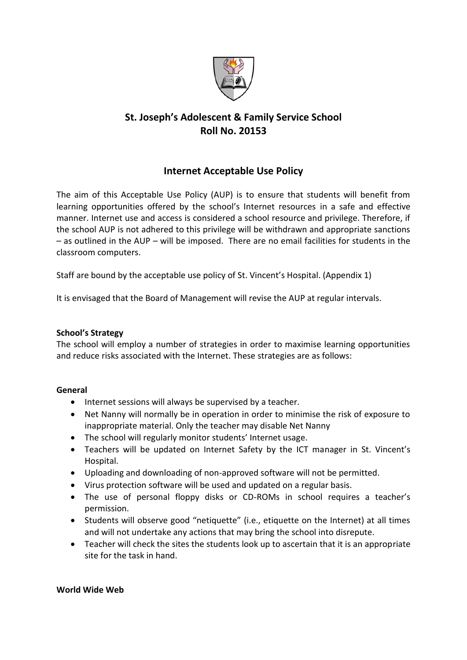

# **St. Joseph's Adolescent & Family Service School Roll No. 20153**

### **Internet Acceptable Use Policy**

The aim of this Acceptable Use Policy (AUP) is to ensure that students will benefit from learning opportunities offered by the school's Internet resources in a safe and effective manner. Internet use and access is considered a school resource and privilege. Therefore, if the school AUP is not adhered to this privilege will be withdrawn and appropriate sanctions – as outlined in the AUP – will be imposed. There are no email facilities for students in the classroom computers.

Staff are bound by the acceptable use policy of St. Vincent's Hospital. (Appendix 1)

It is envisaged that the Board of Management will revise the AUP at regular intervals.

### **School's Strategy**

The school will employ a number of strategies in order to maximise learning opportunities and reduce risks associated with the Internet. These strategies are as follows:

#### **General**

- Internet sessions will always be supervised by a teacher.
- Net Nanny will normally be in operation in order to minimise the risk of exposure to inappropriate material. Only the teacher may disable Net Nanny
- The school will regularly monitor students' Internet usage.
- Teachers will be updated on Internet Safety by the ICT manager in St. Vincent's Hospital.
- Uploading and downloading of non-approved software will not be permitted.
- Virus protection software will be used and updated on a regular basis.
- The use of personal floppy disks or CD-ROMs in school requires a teacher's permission.
- Students will observe good "netiquette" (i.e., etiquette on the Internet) at all times and will not undertake any actions that may bring the school into disrepute.
- Teacher will check the sites the students look up to ascertain that it is an appropriate site for the task in hand.

#### **World Wide Web**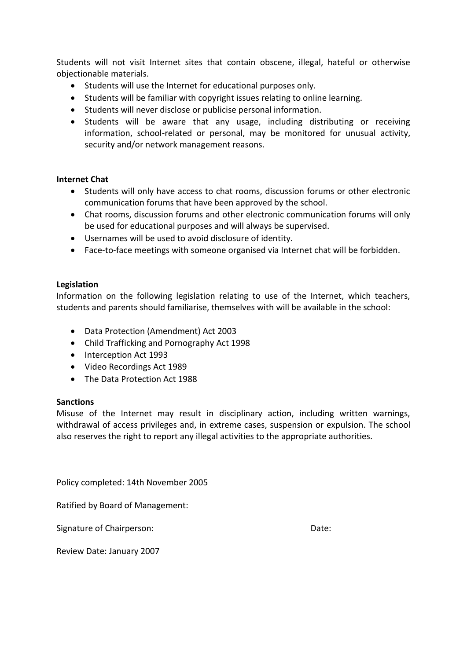Students will not visit Internet sites that contain obscene, illegal, hateful or otherwise objectionable materials.

- Students will use the Internet for educational purposes only.
- Students will be familiar with copyright issues relating to online learning.
- Students will never disclose or publicise personal information.
- Students will be aware that any usage, including distributing or receiving information, school-related or personal, may be monitored for unusual activity, security and/or network management reasons.

### **Internet Chat**

- Students will only have access to chat rooms, discussion forums or other electronic communication forums that have been approved by the school.
- Chat rooms, discussion forums and other electronic communication forums will only be used for educational purposes and will always be supervised.
- Usernames will be used to avoid disclosure of identity.
- Face-to-face meetings with someone organised via Internet chat will be forbidden.

### **Legislation**

Information on the following legislation relating to use of the Internet, which teachers, students and parents should familiarise, themselves with will be available in the school:

- Data Protection (Amendment) Act 2003
- Child Trafficking and Pornography Act 1998
- Interception Act 1993
- Video Recordings Act 1989
- The Data Protection Act 1988

#### **Sanctions**

Misuse of the Internet may result in disciplinary action, including written warnings, withdrawal of access privileges and, in extreme cases, suspension or expulsion. The school also reserves the right to report any illegal activities to the appropriate authorities.

Policy completed: 14th November 2005

Ratified by Board of Management:

Signature of Chairperson: Date: Date:

Review Date: January 2007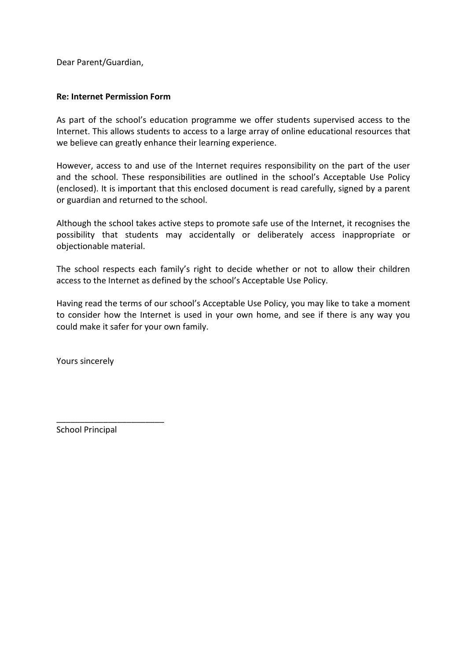Dear Parent/Guardian,

### **Re: Internet Permission Form**

As part of the school's education programme we offer students supervised access to the Internet. This allows students to access to a large array of online educational resources that we believe can greatly enhance their learning experience.

However, access to and use of the Internet requires responsibility on the part of the user and the school. These responsibilities are outlined in the school's Acceptable Use Policy (enclosed). It is important that this enclosed document is read carefully, signed by a parent or guardian and returned to the school.

Although the school takes active steps to promote safe use of the Internet, it recognises the possibility that students may accidentally or deliberately access inappropriate or objectionable material.

The school respects each family's right to decide whether or not to allow their children access to the Internet as defined by the school's Acceptable Use Policy.

Having read the terms of our school's Acceptable Use Policy, you may like to take a moment to consider how the Internet is used in your own home, and see if there is any way you could make it safer for your own family.

Yours sincerely

School Principal

\_\_\_\_\_\_\_\_\_\_\_\_\_\_\_\_\_\_\_\_\_\_\_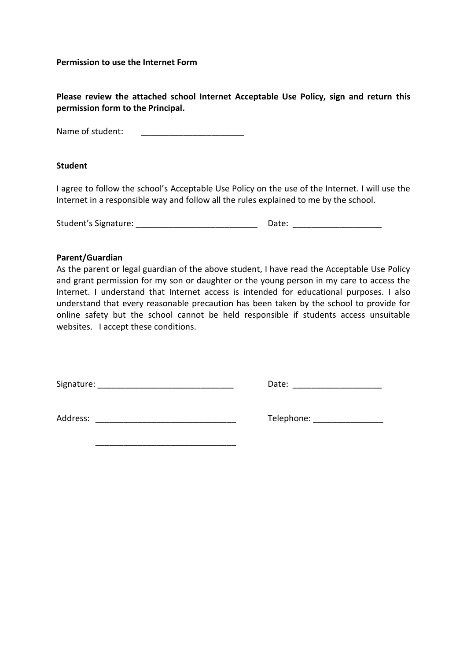**Permission to use the Internet Form**

**Please review the attached school Internet Acceptable Use Policy, sign and return this permission form to the Principal.**

Name of student:

#### **Student**

I agree to follow the school's Acceptable Use Policy on the use of the Internet. I will use the Internet in a responsible way and follow all the rules explained to me by the school.

Student's Signature: \_\_\_\_\_\_\_\_\_\_\_\_\_\_\_\_\_\_\_\_\_\_\_\_\_\_ Date: \_\_\_\_\_\_\_\_\_\_\_\_\_\_\_\_\_\_\_

#### **Parent/Guardian**

As the parent or legal guardian of the above student, I have read the Acceptable Use Policy and grant permission for my son or daughter or the young person in my care to access the Internet. I understand that Internet access is intended for educational purposes. I also understand that every reasonable precaution has been taken by the school to provide for online safety but the school cannot be held responsible if students access unsuitable websites. I accept these conditions.

Signature: etc. and the set of the set of the set of the Date:  $\Box$ 

Address: \_\_\_\_\_\_\_\_\_\_\_\_\_\_\_\_\_\_\_\_\_\_\_\_\_\_\_\_\_\_ Telephone: \_\_\_\_\_\_\_\_\_\_\_\_\_\_\_

\_\_\_\_\_\_\_\_\_\_\_\_\_\_\_\_\_\_\_\_\_\_\_\_\_\_\_\_\_\_